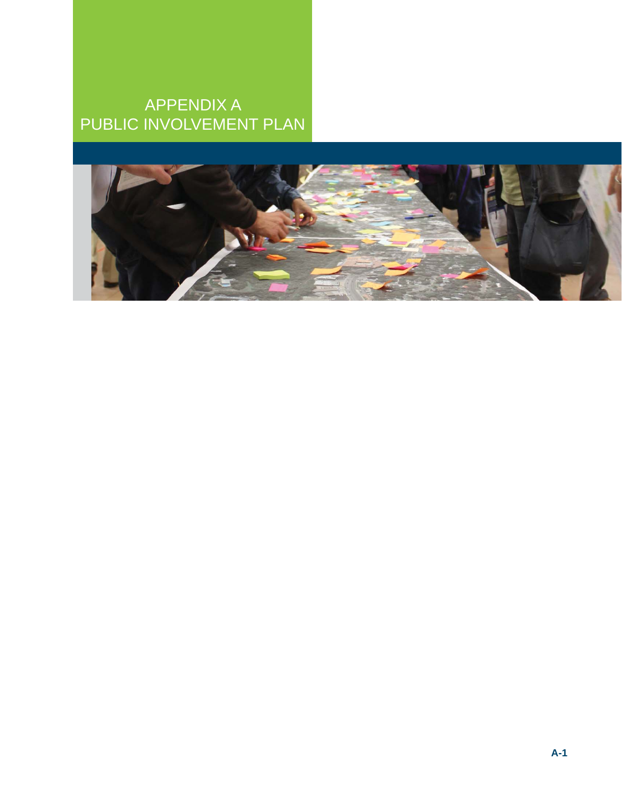# APPENDIX A PUBLIC INVOLVEMENT PLAN

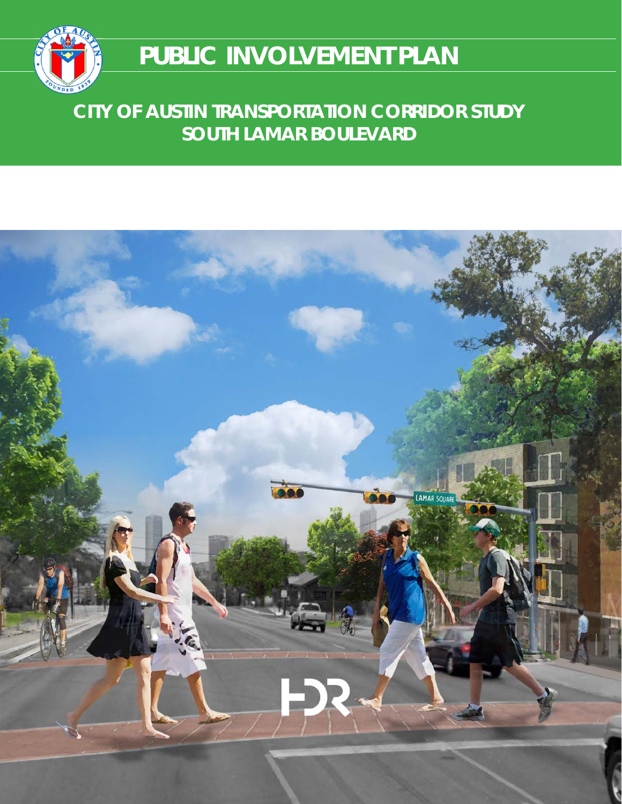

# **PUBLIC INVOLVEMENT PLAN**

# **CITY OF AUSTIN TRANSPORTATION CORRIDOR STUDY SOUTH LAMAR BOULEVARD**

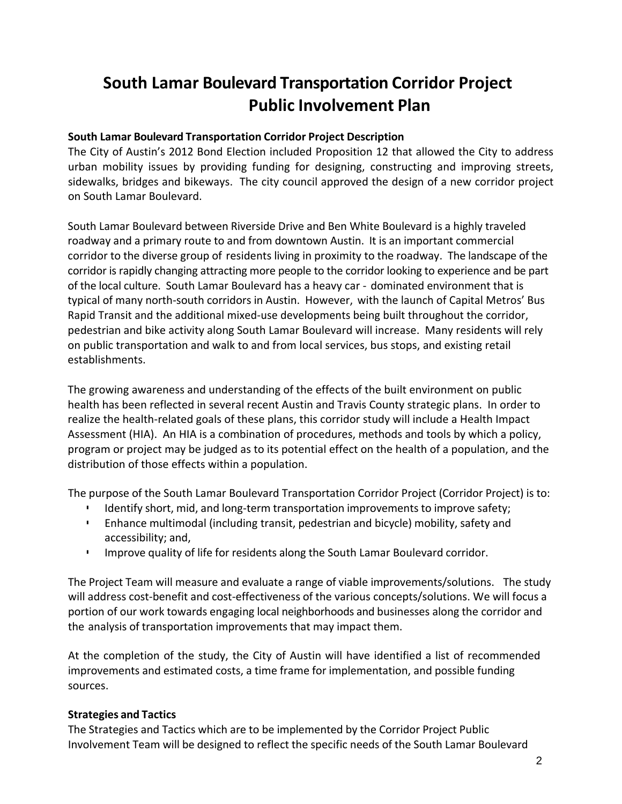# **South Lamar Boulevard Transportation Corridor Project Public Involvement Plan**

#### **South Lamar Boulevard Transportation Corridor Project Description**

The City of Austin's 2012 Bond Election included Proposition 12 that allowed the City to address urban mobility issues by providing funding for designing, constructing and improving streets, sidewalks, bridges and bikeways. The city council approved the design of a new corridor project on South Lamar Boulevard.

South Lamar Boulevard between Riverside Drive and Ben White Boulevard is a highly traveled roadway and a primary route to and from downtown Austin. It is an important commercial corridor to the diverse group of residents living in proximity to the roadway. The landscape of the corridor is rapidly changing attracting more people to the corridor looking to experience and be part of the local culture. South Lamar Boulevard has a heavy car ‐ dominated environment that is typical of many north‐south corridors in Austin. However, with the launch of Capital Metros' Bus Rapid Transit and the additional mixed-use developments being built throughout the corridor, pedestrian and bike activity along South Lamar Boulevard will increase. Many residents will rely on public transportation and walk to and from local services, bus stops, and existing retail establishments.

The growing awareness and understanding of the effects of the built environment on public health has been reflected in several recent Austin and Travis County strategic plans. In order to realize the health‐related goals of these plans, this corridor study will include a Health Impact Assessment (HIA). An HIA is a combination of procedures, methods and tools by which a policy, program or project may be judged as to its potential effect on the health of a population, and the distribution of those effects within a population.

The purpose of the South Lamar Boulevard Transportation Corridor Project (Corridor Project) is to:

- Identify short, mid, and long-term transportation improvements to improve safety;
- Enhance multimodal (including transit, pedestrian and bicycle) mobility, safety and accessibility; and,
- Improve quality of life for residents along the South Lamar Boulevard corridor.

The Project Team will measure and evaluate a range of viable improvements/solutions. The study will address cost-benefit and cost-effectiveness of the various concepts/solutions. We will focus a portion of our work towards engaging local neighborhoods and businesses along the corridor and the analysis of transportation improvements that may impact them.

At the completion of the study, the City of Austin will have identified a list of recommended improvements and estimated costs, a time frame for implementation, and possible funding sources.

#### **Strategies and Tactics**

The Strategies and Tactics which are to be implemented by the Corridor Project Public Involvement Team will be designed to reflect the specific needs of the South Lamar Boulevard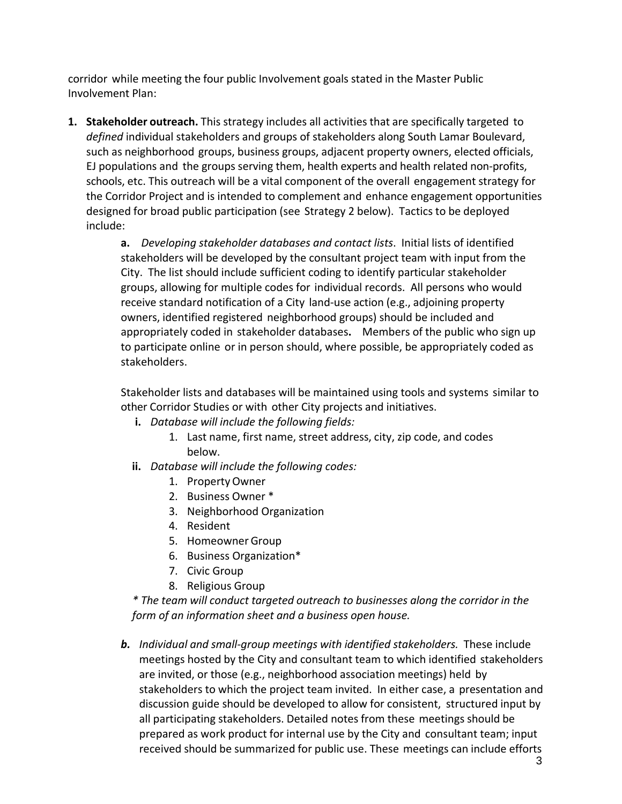corridor while meeting the four public Involvement goals stated in the Master Public Involvement Plan:

**1. Stakeholder outreach.** This strategy includes all activities that are specifically targeted to *defined* individual stakeholders and groups of stakeholders along South Lamar Boulevard, such as neighborhood groups, business groups, adjacent property owners, elected officials, EJ populations and the groups serving them, health experts and health related non‐profits, schools, etc. This outreach will be a vital component of the overall engagement strategy for the Corridor Project and is intended to complement and enhance engagement opportunities designed for broad public participation (see Strategy 2 below). Tactics to be deployed include:

> **a.** *Developing stakeholder databases and contact lists*. Initial lists of identified stakeholders will be developed by the consultant project team with input from the City. The list should include sufficient coding to identify particular stakeholder groups, allowing for multiple codes for individual records. All persons who would receive standard notification of a City land‐use action (e.g., adjoining property owners, identified registered neighborhood groups) should be included and appropriately coded in stakeholder databases**.**  Members of the public who sign up to participate online or in person should, where possible, be appropriately coded as stakeholders.

> Stakeholder lists and databases will be maintained using tools and systems similar to other Corridor Studies or with other City projects and initiatives.

- **i.** *Database will include the following fields:*
	- 1. Last name, first name, street address, city, zip code, and codes below.
- **ii.** *Database will include the following codes:*
	- 1. PropertyOwner
	- 2. Business Owner \*
	- 3. Neighborhood Organization
	- 4. Resident
	- 5. Homeowner Group
	- 6. Business Organization\*
	- 7. Civic Group
	- 8. Religious Group

*\* The team will conduct targeted outreach to businesses along the corridor in the form of an information sheet and a business open house.*

*b. Individual and small‐group meetings with identified stakeholders.* These include meetings hosted by the City and consultant team to which identified stakeholders are invited, or those (e.g., neighborhood association meetings) held by stakeholders to which the project team invited. In either case, a presentation and discussion guide should be developed to allow for consistent, structured input by all participating stakeholders. Detailed notes from these meetings should be prepared as work product for internal use by the City and consultant team; input received should be summarized for public use. These meetings can include efforts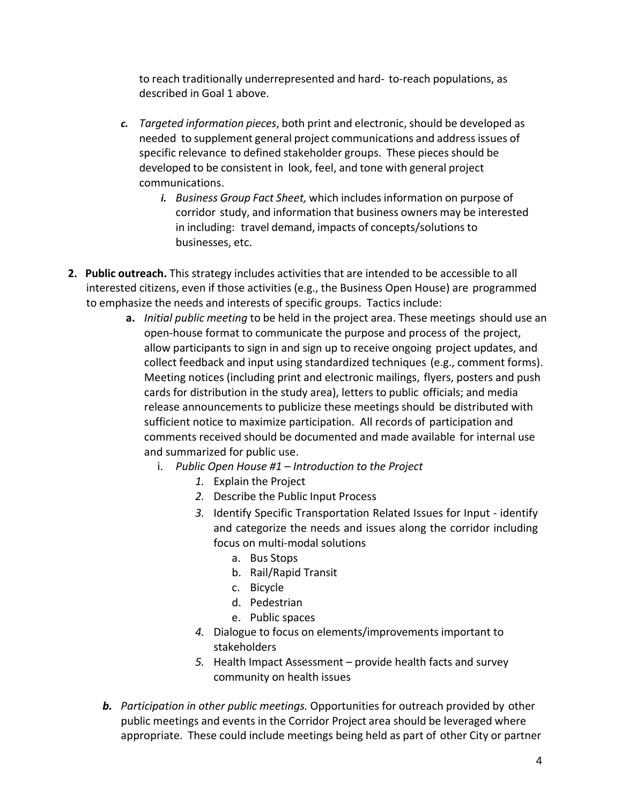to reach traditionally underrepresented and hard‐ to‐reach populations, as described in Goal 1 above.

- *c. Targeted information pieces*, both print and electronic,should be developed as needed to supplement general project communications and addressissues of specific relevance to defined stakeholder groups. These pieces should be developed to be consistent in look, feel, and tone with general project communications.
	- *i. Business Group Fact Sheet,* which includesinformation on purpose of corridor study, and information that business owners may be interested in including: travel demand, impacts of concepts/solutionsto businesses, etc.
- **2. Public outreach.** This strategy includes activities that are intended to be accessible to all interested citizens, even if those activities (e.g., the Business Open House) are programmed to emphasize the needs and interests of specific groups. Tactics include:
	- **a.** *Initial public meeting* to be held in the project area. These meetings should use an open‐house format to communicate the purpose and process of the project, allow participants to sign in and sign up to receive ongoing project updates, and collect feedback and input using standardized techniques (e.g., comment forms). Meeting notices (including print and electronic mailings, flyers, posters and push cards for distribution in the study area), letters to public officials; and media release announcements to publicize these meetings should be distributed with sufficient notice to maximize participation. All records of participation and comments received should be documented and made available for internal use and summarized for public use.
		- i. *Public Open House #1 – Introduction to the Project*
			- *1.* Explain the Project
			- *2.* Describe the Public Input Process
			- *3.* Identify Specific Transportation Related Issues for Input ‐ identify and categorize the needs and issues along the corridor including focus on multi‐modal solutions
				- a. Bus Stops
				- b. Rail/Rapid Transit
				- c. Bicycle
				- d. Pedestrian
				- e. Public spaces
			- *4.* Dialogue to focus on elements/improvements important to stakeholders
			- *5.* Health Impact Assessment provide health facts and survey community on health issues
	- *b. Participation in other public meetings.* Opportunities for outreach provided by other public meetings and events in the Corridor Project area should be leveraged where appropriate. These could include meetings being held as part of other City or partner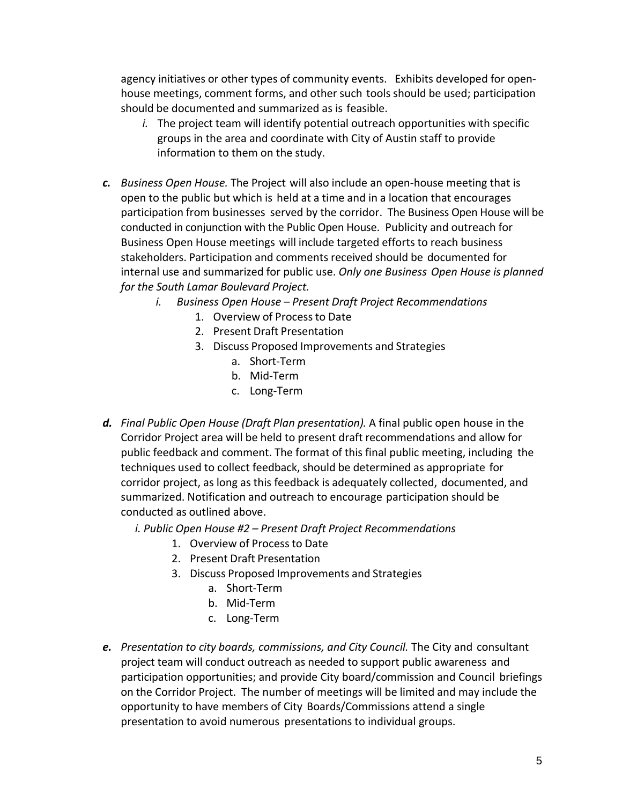agency initiatives or other types of community events. Exhibits developed for open‐ house meetings, comment forms, and other such tools should be used; participation should be documented and summarized as is feasible.

- *i.* The project team will identify potential outreach opportunities with specific groups in the area and coordinate with City of Austin staff to provide information to them on the study.
- *c. Business Open House.* The Project will also include an open‐house meeting that is open to the public but which is held at a time and in a location that encourages participation from businesses served by the corridor. The Business Open House will be conducted in conjunction with the Public Open House. Publicity and outreach for Business Open House meetings will include targeted efforts to reach business stakeholders. Participation and comments received should be documented for internal use and summarized for public use. *Only one Business Open House is planned for the South Lamar Boulevard Project.*
	- *i. Business Open House – Present Draft Project Recommendations*
		- 1. Overview of Processto Date
		- 2. Present Draft Presentation
		- 3. Discuss Proposed Improvements and Strategies
			- a. Short‐Term
			- b. Mid‐Term
			- c. Long‐Term
- *d. Final Public Open House (Draft Plan presentation).* A final public open house in the Corridor Project area will be held to present draft recommendations and allow for public feedback and comment. The format of this final public meeting, including the techniques used to collect feedback, should be determined as appropriate for corridor project, as long as this feedback is adequately collected, documented, and summarized. Notification and outreach to encourage participation should be conducted as outlined above.
	- *i. Public Open House #2 – Present Draft Project Recommendations*
		- 1. Overview of Processto Date
		- 2. Present Draft Presentation
		- 3. Discuss Proposed Improvements and Strategies
			- a. Short‐Term
			- b. Mid‐Term
			- c. Long‐Term
- *e. Presentation to city boards, commissions, and City Council.* The City and consultant project team will conduct outreach as needed to support public awareness and participation opportunities; and provide City board/commission and Council briefings on the Corridor Project. The number of meetings will be limited and may include the opportunity to have members of City Boards/Commissions attend a single presentation to avoid numerous presentations to individual groups.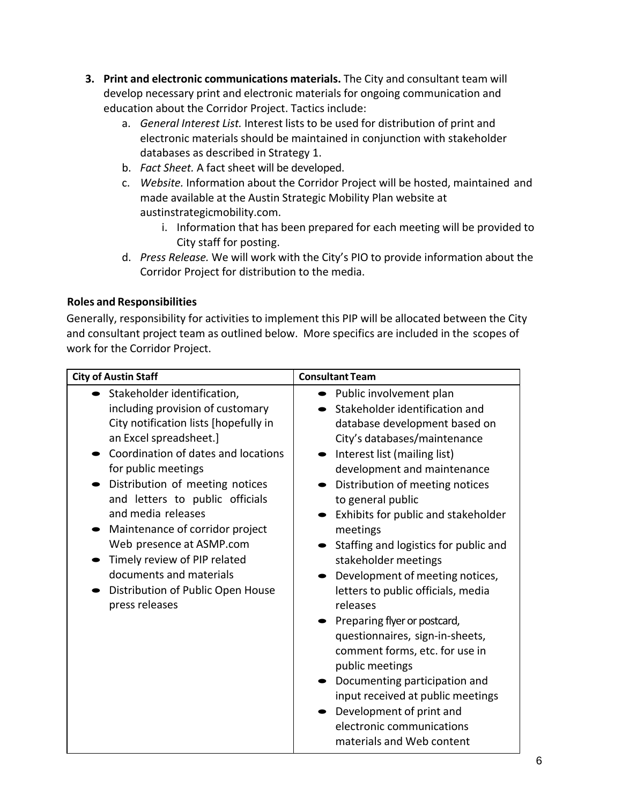- **3. Print and electronic communications materials.** The City and consultant team will develop necessary print and electronic materials for ongoing communication and education about the Corridor Project. Tactics include:
	- a. *General Interest List.* Interest lists to be used for distribution of print and electronic materials should be maintained in conjunction with stakeholder databases as described in Strategy 1.
	- b. *Fact Sheet.* A fact sheet will be developed.
	- c. *Website.* Information about the Corridor Project will be hosted, maintained and made available at the Austin Strategic Mobility Plan website at austinstrategicmobility.com.
		- i. Information that has been prepared for each meeting will be provided to City staff for posting.
	- d. *Press Release.* We will work with the City's PIO to provide information about the Corridor Project for distribution to the media.

#### **Roles and Responsibilities**

Generally, responsibility for activities to implement this PIP will be allocated between the City and consultant project team as outlined below. More specifics are included in the scopes of work for the Corridor Project.

| <b>City of Austin Staff</b>           | <b>Consultant Team</b>                |  |
|---------------------------------------|---------------------------------------|--|
| Stakeholder identification,           | Public involvement plan               |  |
| including provision of customary      | Stakeholder identification and        |  |
| City notification lists [hopefully in | database development based on         |  |
| an Excel spreadsheet.]                | City's databases/maintenance          |  |
| Coordination of dates and locations   | Interest list (mailing list)          |  |
| for public meetings                   | development and maintenance           |  |
| Distribution of meeting notices       | Distribution of meeting notices       |  |
| and letters to public officials       | to general public                     |  |
| and media releases                    | Exhibits for public and stakeholder   |  |
| Maintenance of corridor project       | meetings                              |  |
| Web presence at ASMP.com              | Staffing and logistics for public and |  |
| Timely review of PIP related          | stakeholder meetings                  |  |
| documents and materials               | Development of meeting notices,       |  |
| Distribution of Public Open House     | letters to public officials, media    |  |
| press releases                        | releases                              |  |
|                                       | Preparing flyer or postcard,          |  |
|                                       | questionnaires, sign-in-sheets,       |  |
|                                       | comment forms, etc. for use in        |  |
|                                       | public meetings                       |  |
|                                       | Documenting participation and         |  |
|                                       | input received at public meetings     |  |
|                                       | Development of print and              |  |
|                                       | electronic communications             |  |
|                                       | materials and Web content             |  |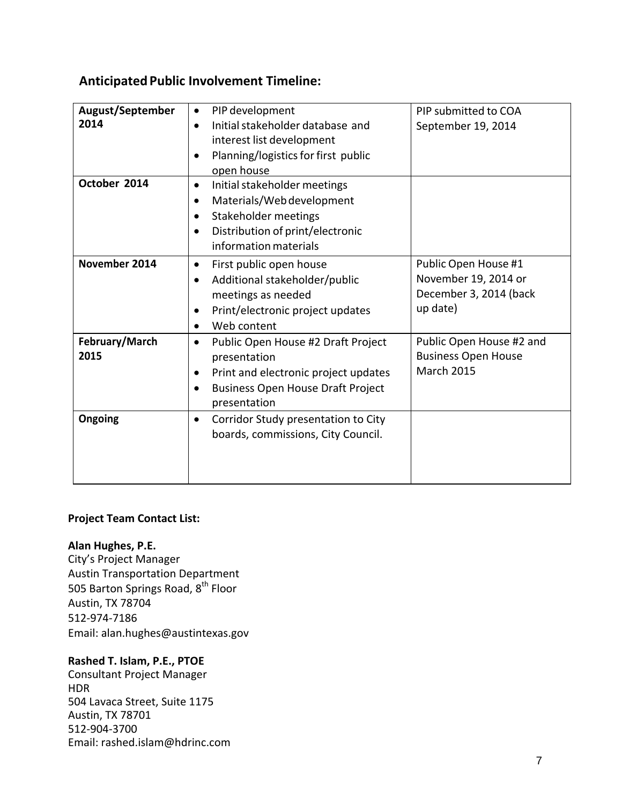### **AnticipatedPublic Involvement Timeline:**

| <b>August/September</b><br>2014 | PIP development<br>$\bullet$<br>Initial stakeholder database and<br>$\bullet$<br>interest list development<br>Planning/logistics for first public<br>٠<br>open house                               | PIP submitted to COA<br>September 19, 2014                                         |
|---------------------------------|----------------------------------------------------------------------------------------------------------------------------------------------------------------------------------------------------|------------------------------------------------------------------------------------|
| October 2014                    | Initial stakeholder meetings<br>$\bullet$<br>Materials/Web development<br>$\bullet$<br>Stakeholder meetings<br>$\bullet$<br>Distribution of print/electronic<br>$\bullet$<br>information materials |                                                                                    |
| November 2014                   | First public open house<br>$\bullet$<br>Additional stakeholder/public<br>$\bullet$<br>meetings as needed<br>Print/electronic project updates<br>$\bullet$<br>Web content                           | Public Open House #1<br>November 19, 2014 or<br>December 3, 2014 (back<br>up date) |
| February/March<br>2015          | Public Open House #2 Draft Project<br>$\bullet$<br>presentation<br>Print and electronic project updates<br>$\bullet$<br><b>Business Open House Draft Project</b><br>$\bullet$<br>presentation      | Public Open House #2 and<br><b>Business Open House</b><br><b>March 2015</b>        |
| Ongoing                         | Corridor Study presentation to City<br>$\bullet$<br>boards, commissions, City Council.                                                                                                             |                                                                                    |

#### **Project Team Contact List:**

#### **Alan Hughes, P.E.**

City's Project Manager Austin Transportation Department 505 Barton Springs Road, 8<sup>th</sup> Floor Austin, TX 78704 512‐974‐7186 Email: alan.hughes@austintexas.gov

#### **Rashed T. Islam, P.E., PTOE**

Consultant Project Manager HDR 504 Lavaca Street, Suite 1175 Austin, TX 78701 512‐904‐3700 Email: rashed.islam@hdrinc.com